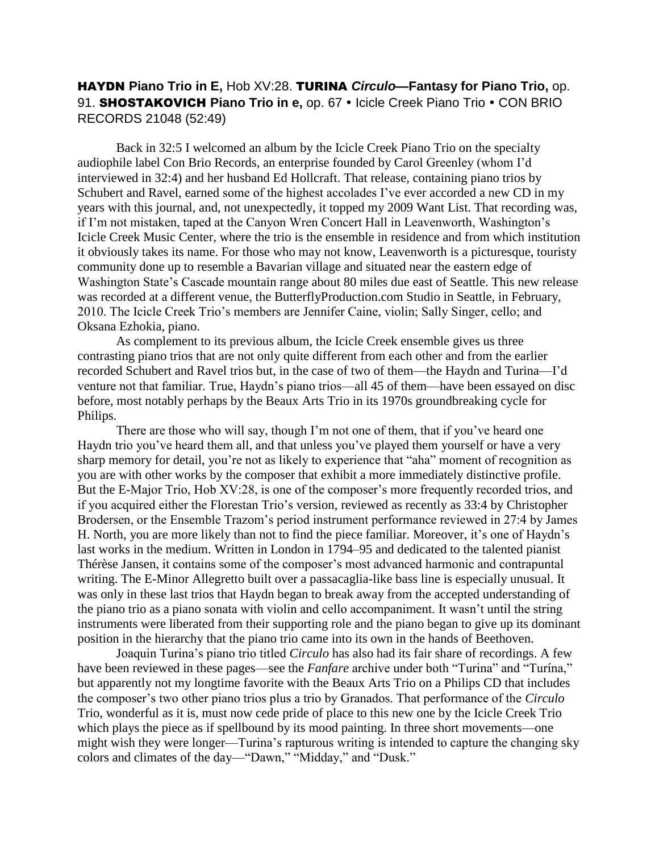## HAYDN **Piano Trio in E,** Hob XV:28. TURINA *Circulo—***Fantasy for Piano Trio,** op. 91. **SHOSTAKOVICH Piano Trio in e,** op. 67 • Icicle Creek Piano Trio • CON BRIO RECORDS 21048 (52:49)

Back in 32:5 I welcomed an album by the Icicle Creek Piano Trio on the specialty audiophile label Con Brio Records, an enterprise founded by Carol Greenley (whom I'd interviewed in 32:4) and her husband Ed Hollcraft. That release, containing piano trios by Schubert and Ravel, earned some of the highest accolades I've ever accorded a new CD in my years with this journal, and, not unexpectedly, it topped my 2009 Want List. That recording was, if I'm not mistaken, taped at the Canyon Wren Concert Hall in Leavenworth, Washington's Icicle Creek Music Center, where the trio is the ensemble in residence and from which institution it obviously takes its name. For those who may not know, Leavenworth is a picturesque, touristy community done up to resemble a Bavarian village and situated near the eastern edge of Washington State's Cascade mountain range about 80 miles due east of Seattle. This new release was recorded at a different venue, the ButterflyProduction.com Studio in Seattle, in February, 2010. The Icicle Creek Trio's members are Jennifer Caine, violin; Sally Singer, cello; and Oksana Ezhokia, piano.

As complement to its previous album, the Icicle Creek ensemble gives us three contrasting piano trios that are not only quite different from each other and from the earlier recorded Schubert and Ravel trios but, in the case of two of them—the Haydn and Turina—I'd venture not that familiar. True, Haydn's piano trios—all 45 of them—have been essayed on disc before, most notably perhaps by the Beaux Arts Trio in its 1970s groundbreaking cycle for Philips.

There are those who will say, though I'm not one of them, that if you've heard one Haydn trio you've heard them all, and that unless you've played them yourself or have a very sharp memory for detail, you're not as likely to experience that "aha" moment of recognition as you are with other works by the composer that exhibit a more immediately distinctive profile. But the E-Major Trio, Hob XV:28, is one of the composer's more frequently recorded trios, and if you acquired either the Florestan Trio's version, reviewed as recently as 33:4 by Christopher Brodersen, or the Ensemble Trazom's period instrument performance reviewed in 27:4 by James H. North, you are more likely than not to find the piece familiar. Moreover, it's one of Haydn's last works in the medium. Written in London in 1794–95 and dedicated to the talented pianist Thérèse Jansen, it contains some of the composer's most advanced harmonic and contrapuntal writing. The E-Minor Allegretto built over a passacaglia-like bass line is especially unusual. It was only in these last trios that Haydn began to break away from the accepted understanding of the piano trio as a piano sonata with violin and cello accompaniment. It wasn't until the string instruments were liberated from their supporting role and the piano began to give up its dominant position in the hierarchy that the piano trio came into its own in the hands of Beethoven.

Joaquin Turina's piano trio titled *Circulo* has also had its fair share of recordings. A few have been reviewed in these pages—see the *Fanfare* archive under both "Turina" and "Turina," but apparently not my longtime favorite with the Beaux Arts Trio on a Philips CD that includes the composer's two other piano trios plus a trio by Granados. That performance of the *Circulo*  Trio, wonderful as it is, must now cede pride of place to this new one by the Icicle Creek Trio which plays the piece as if spellbound by its mood painting. In three short movements—one might wish they were longer—Turina's rapturous writing is intended to capture the changing sky colors and climates of the day—"Dawn," "Midday," and "Dusk."